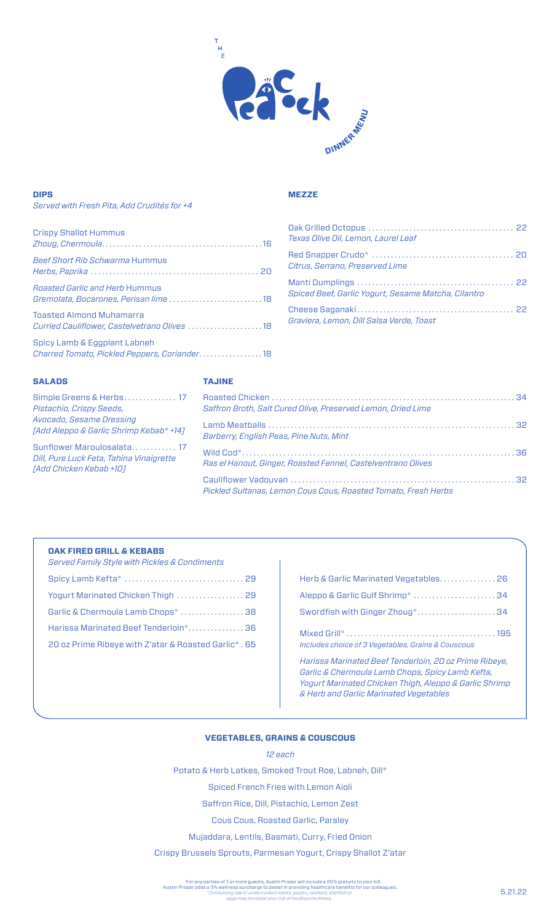

# **DIPS**

### *Served with Fresh Pita, Add Crudités for +4*

| <b>Crispy Shallot Hummus</b>                                                    |
|---------------------------------------------------------------------------------|
| <b>Beef Short Rib Schwarma Hummus</b>                                           |
| <i>Roasted Garlic and Herb Hummus</i><br>Gremolata, Bocarones, Perisan lime  18 |
| <b>Toasted Almond Muhamarra</b><br>Curried Cauliflower, Castelvetrano Olives 18 |
| Spicy Lamb & Eggplant Labneh<br>Charred Tomato, Pickled Peppers, Coriander18    |

# **MEZZE**

| Texas Olive Oil, Lemon, Laurel Leaf                 |  |
|-----------------------------------------------------|--|
| Citrus, Serrano, Preserved Lime                     |  |
| Spiced Beef, Garlic Yogurt, Sesame Matcha, Cilantro |  |
| Graviera, Lemon, Dill Salsa Verde, Toast            |  |

# **SALADS**

# **TAJINE**

| Simple Greens & Herbs 17<br>Pistachio, Crispy Seeds,                                              | Saffron Broth, Salt Cured Olive, Preserved Lemon, Dried Lime   |  |
|---------------------------------------------------------------------------------------------------|----------------------------------------------------------------|--|
| Avocado, Sesame Dressing<br>[Add Aleppo & Garlic Shrimp Kebab* +14]                               | Barberry, English Peas, Pine Nuts, Mint                        |  |
| Sunflower Maroulosalata 17<br>Dill, Pure Luck Feta, Tahina Vinaigrette<br>[Add Chicken Kebab +10] | Ras el Hanout, Ginger, Roasted Fennel, Castelventrano Olives   |  |
|                                                                                                   | Pickled Sultanas, Lemon Cous Cous, Roasted Tomato, Fresh Herbs |  |

### **OAK FIRED GRILL & KEBABS**

| <b>Served Family Style with Pickles &amp; Condiments</b> |
|----------------------------------------------------------|
|                                                          |
| Yogurt Marinated Chicken Thigh  29                       |
| Garlic & Chermoula Lamb Chops*  38                       |
| Harissa Marinated Beef Tenderloin*36                     |
| 20 oz Prime Ribeye with Z'atar & Roasted Garlic*, 65     |
|                                                          |

| Herb & Garlic Marinated Vegetables 26                                                                        |
|--------------------------------------------------------------------------------------------------------------|
| Aleppo & Garlic Gulf Shrimp*  34                                                                             |
| Swordfish with Ginger Zhoug* 34                                                                              |
| Includes choice of 3 Vegetables, Grains & Couscous                                                           |
| Harissa Marinated Beef Tenderloin, 20 oz Prime Ribeye,<br>Carlie C. Obernacule Lamb Oberna, Chief Lamb Vefte |

*Garlic & Chermoula Lamb Chops, Spicy Lamb Kefta, Yogurt Marinated Chicken Thigh, Aleppo & Garlic Shrimp & Herb and Garlic Marinated Vegetables*

### **VEGETABLES, GRAINS & COUSCOUS**

### *12 each*

Potato & Herb Latkes, Smoked Trout Roe, Labneh, Dill\*

Spiced French Fries with Lemon Aioli

Saffron Rice, Dill, Pistachio, Lemon Zest

Cous Cous, Roasted Garlic, Parsley

Mujaddara, Lentils, Basmati, Curry, Fried Onion

Crispy Brussels Sprouts, Parmesan Yogurt, Crispy Shallot Z'atar

For any parties of 7 or more guests, Austin Proper will include a 20% gratuity to your bill.<br>Austin Proper adds a 3% wellness surcharge to assist in providing healthcare benefits for our colleagues.<br>*Consuming raw or unde*